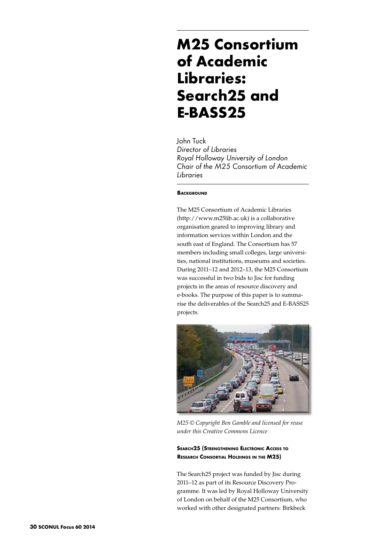# **M25 Consortium of Academic Libraries: Search25 and E-BASS25**

John Tuck *Director of Libraries Royal Holloway University of London Chair of the M25 Consortium of Academic Libraries*

## **BACKGROUND**

The M25 Consortium of Academic Libraries (http://www.m25lib.ac.uk) is a collaborative organisation geared to improving library and information services within London and the south east of England. The Consortium has 57 members including small colleges, large universities, national institutions, museums and societies. During 2011–12 and 2012–13, the M25 Consortium was successful in two bids to Jisc for funding projects in the areas of resource discovery and e-books. The purpose of this paper is to summarise the deliverables of the Search25 and E-BASS25 projects.



*M25 © Copyright Ben Gamble and licensed for reuse under this Creative Commons Licence* 

# **Search25 (Strengthening Electronic Access to Research Consortial Holdings in the M25)**

The Search25 project was funded by Jisc during 2011–12 as part of its Resource Discovery Programme. It was led by Royal Holloway University of London on behalf of the M25 Consortium, who worked with other designated partners: Birkbeck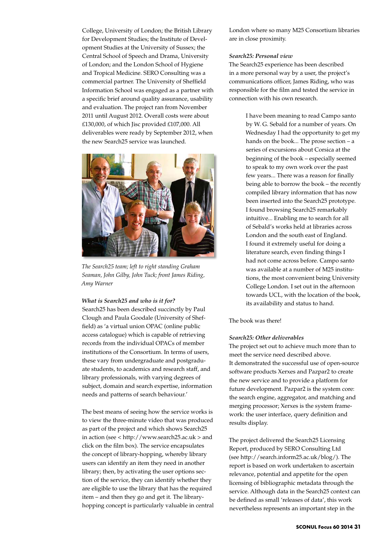College, University of London; the British Library for Development Studies; the Institute of Development Studies at the University of Sussex; the Central School of Speech and Drama, University of London; and the London School of Hygiene and Tropical Medicine. SERO Consulting was a commercial partner. The University of Sheffield Information School was engaged as a partner with a specific brief around quality assurance, usability and evaluation. The project ran from November 2011 until August 2012. Overall costs were about £130,000, of which Jisc provided £107,000. All deliverables were ready by September 2012, when the new Search25 service was launched.



*The Search25 team; left to right standing Graham Seaman, John Gilby, John Tuck; front James Riding, Amy Warner* 

#### *What is Search25 and who is it for?*

Search25 has been described succinctly by Paul Clough and Paula Goodale (University of Sheffield) as 'a virtual union OPAC (online public access catalogue) which is capable of retrieving records from the individual OPACs of member institutions of the Consortium. In terms of users, these vary from undergraduate and postgraduate students, to academics and research staff, and library professionals, with varying degrees of subject, domain and search expertise, information needs and patterns of search behaviour.'

The best means of seeing how the service works is to view the three-minute video that was produced as part of the project and which shows Search25 in action (see < http://www.search25.ac.uk > and click on the film box). The service encapsulates the concept of library-hopping, whereby library users can identify an item they need in another library; then, by activating the user options section of the service, they can identify whether they are eligible to use the library that has the required item – and then they go and get it. The libraryhopping concept is particularly valuable in central London where so many M25 Consortium libraries are in close proximity.

## *Search25: Personal view*

The Search25 experience has been described in a more personal way by a user, the project's communications officer, James Riding, who was responsible for the film and tested the service in connection with his own research.

> I have been meaning to read Campo santo by W. G. Sebald for a number of years. On Wednesday I had the opportunity to get my hands on the book... The prose section – a series of excursions about Corsica at the beginning of the book – especially seemed to speak to my own work over the past few years... There was a reason for finally being able to borrow the book – the recently compiled library information that has now been inserted into the Search25 prototype. I found browsing Search25 remarkably intuitive... Enabling me to search for all of Sebald's works held at libraries across London and the south east of England. I found it extremely useful for doing a literature search, even finding things I had not come across before. Campo santo was available at a number of M25 institutions, the most convenient being University College London. I set out in the afternoon towards UCL, with the location of the book, its availability and status to hand.

The book was there!

#### *Search25: Other deliverables*

The project set out to achieve much more than to meet the service need described above. It demonstrated the successful use of open-source software products Xerxes and Pazpar2 to create the new service and to provide a platform for future development. Pazpar2 is the system core: the search engine, aggregator, and matching and merging processor; Xerxes is the system framework: the user interface, query definition and results display.

The project delivered the Search25 Licensing Report, produced by SERO Consulting Ltd (see http://search.inform25.ac.uk/blog/). The report is based on work undertaken to ascertain relevance, potential and appetite for the open licensing of bibliographic metadata through the service. Although data in the Search25 context can be defined as small 'releases of data', this work nevertheless represents an important step in the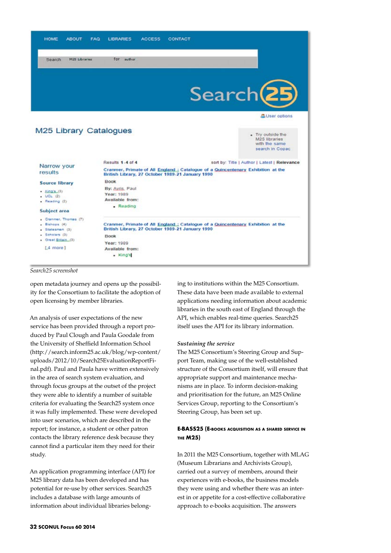

#### *Search25 screenshot*

open metadata journey and opens up the possibility for the Consortium to facilitate the adoption of open licensing by member libraries.

An analysis of user expectations of the new service has been provided through a report produced by Paul Clough and Paula Goodale from the University of Sheffield Information School (http://search.inform25.ac.uk/blog/wp-content/ uploads/2012/10/Search25EvaluationReportFinal.pdf). Paul and Paula have written extensively in the area of search system evaluation, and through focus groups at the outset of the project they were able to identify a number of suitable criteria for evaluating the Search25 system once it was fully implemented. These were developed into user scenarios, which are described in the report; for instance, a student or other patron contacts the library reference desk because they cannot find a particular item they need for their study.

An application programming interface (API) for M25 library data has been developed and has potential for re-use by other services. Search25 includes a database with large amounts of information about individual libraries belong-

ing to institutions within the M25 Consortium. These data have been made available to external applications needing information about academic libraries in the south east of England through the API, which enables real-time queries. Search25 itself uses the API for its library information.

### *Sustaining the service*

The M25 Consortium's Steering Group and Support Team, making use of the well-established structure of the Consortium itself, will ensure that appropriate support and maintenance mechanisms are in place. To inform decision-making and prioritisation for the future, an M25 Online Services Group, reporting to the Consortium's Steering Group, has been set up.

# **E-BASS25 (E-books acquisition as a shared service in the M25)**

In 2011 the M25 Consortium, together with MLAG (Museum Librarians and Archivists Group), carried out a survey of members, around their experiences with e-books, the business models they were using and whether there was an interest in or appetite for a cost-effective collaborative approach to e-books acquisition. The answers